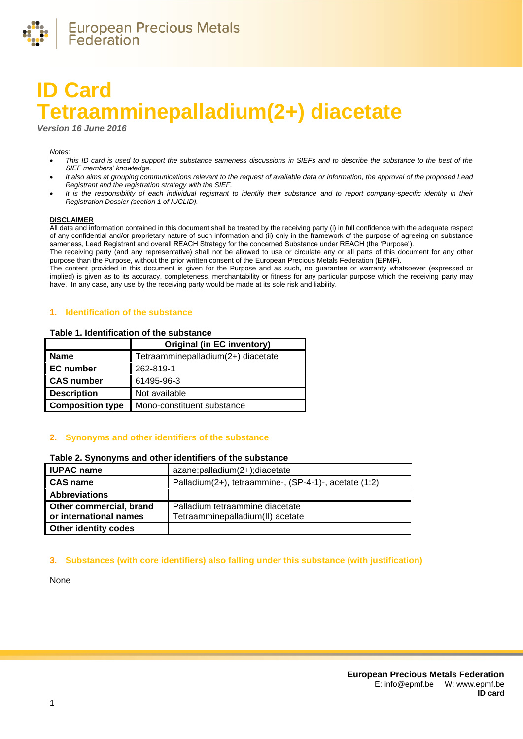

# **ID Card Tetraamminepalladium(2+) diacetate**

*Version 16 June 2016*

#### *Notes:*

- *This ID card is used to support the substance sameness discussions in SIEFs and to describe the substance to the best of the SIEF members' knowledge.*
- *It also aims at grouping communications relevant to the request of available data or information, the approval of the proposed Lead Registrant and the registration strategy with the SIEF.*
- *It is the responsibility of each individual registrant to identify their substance and to report company-specific identity in their Registration Dossier (section 1 of IUCLID).*

#### **DISCLAIMER**

All data and information contained in this document shall be treated by the receiving party (i) in full confidence with the adequate respect of any confidential and/or proprietary nature of such information and (ii) only in the framework of the purpose of agreeing on substance sameness, Lead Registrant and overall REACH Strategy for the concerned Substance under REACH (the 'Purpose').

The receiving party (and any representative) shall not be allowed to use or circulate any or all parts of this document for any other purpose than the Purpose, without the prior written consent of the European Precious Metals Federation (EPMF).

The content provided in this document is given for the Purpose and as such, no guarantee or warranty whatsoever (expressed or implied) is given as to its accuracy, completeness, merchantability or fitness for any particular purpose which the receiving party may have. In any case, any use by the receiving party would be made at its sole risk and liability.

#### **1. Identification of the substance**

#### **Table 1. Identification of the substance**

|                         | <b>Original (in EC inventory)</b>  |
|-------------------------|------------------------------------|
| <b>Name</b>             | Tetraamminepalladium(2+) diacetate |
| <b>EC</b> number        | 262-819-1                          |
| <b>CAS number</b>       | 61495-96-3                         |
| <b>Description</b>      | Not available                      |
| <b>Composition type</b> | Mono-constituent substance         |

#### **2. Synonyms and other identifiers of the substance**

#### **Table 2. Synonyms and other identifiers of the substance**

| <b>IUPAC name</b>                                 | azane;palladium(2+);diacetate                                       |
|---------------------------------------------------|---------------------------------------------------------------------|
| <b>CAS name</b>                                   | Palladium(2+), tetraammine-, (SP-4-1)-, acetate (1:2)               |
| <b>Abbreviations</b>                              |                                                                     |
| Other commercial, brand<br>or international names | Palladium tetraammine diacetate<br>Tetraamminepalladium(II) acetate |
| <b>Other identity codes</b>                       |                                                                     |

#### **3. Substances (with core identifiers) also falling under this substance (with justification)**

None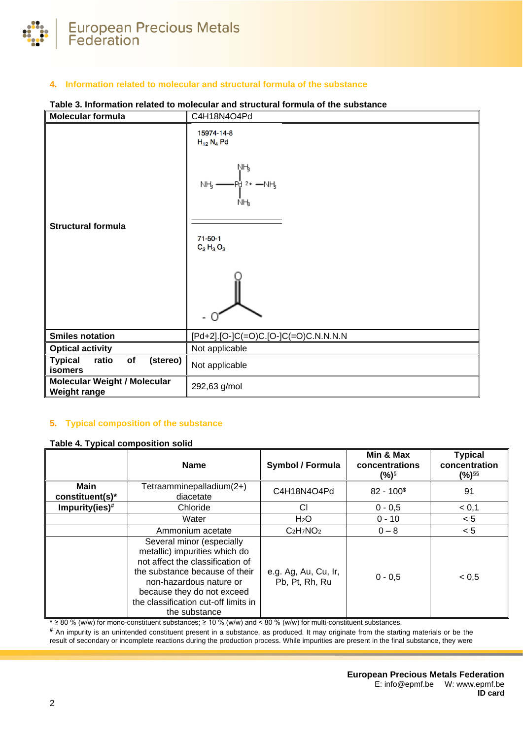

# **4. Information related to molecular and structural formula of the substance**

# **Molecular formula** C4H18N4O4Pd 15974-14-8  $H_{12} N_4 Pd$ ŅӉ NH, -NH ŇЊ **Structural formula**  $71 - 50 - 1$  $C_2$  H<sub>3</sub> $O_2$ - 0 **Smiles notation i** [Pd+2].[O-]C(=O)C.[O-]C(=O)C.N.N.N.N **Optical activity** Not applicable **Typical ratio of (stereo) Not applicable Molecular Weight / Molecular Weight range** 292,63 g/mol

# **Table 3. Information related to molecular and structural formula of the substance**

# **5. Typical composition of the substance**

#### <span id="page-1-0"></span>**Table 4. Typical composition solid**

|                                | <b>Name</b>                                                                                                                                                                                                                                        | <b>Symbol / Formula</b>                | Min & Max<br>concentrations<br>$(%)^{\S}$ | <b>Typical</b><br>concentration<br>(%) <sup>§§</sup> |
|--------------------------------|----------------------------------------------------------------------------------------------------------------------------------------------------------------------------------------------------------------------------------------------------|----------------------------------------|-------------------------------------------|------------------------------------------------------|
| <b>Main</b><br>constituent(s)* | Tetraamminepalladium(2+)<br>diacetate                                                                                                                                                                                                              | C4H18N4O4Pd                            | $82 - 100§$                               | 91                                                   |
| Impurity(ies)#                 | Chloride                                                                                                                                                                                                                                           | СI                                     | $0 - 0.5$                                 | < 0,1                                                |
|                                | Water                                                                                                                                                                                                                                              | H <sub>2</sub> O                       | $0 - 10$                                  | < 5                                                  |
|                                | Ammonium acetate                                                                                                                                                                                                                                   | $C_2H_7NO_2$                           | $0 - 8$                                   | < 5                                                  |
|                                | Several minor (especially<br>metallic) impurities which do<br>not affect the classification of<br>the substance because of their<br>non-hazardous nature or<br>because they do not exceed<br>the classification cut-off limits in<br>the substance | e.g. Ag, Au, Cu, Ir,<br>Pb, Pt, Rh, Ru | $0 - 0,5$                                 | < 0.5                                                |

**\*** ≥ 80 % (w/w) for mono-constituent substances; ≥ 10 % (w/w) and < 80 % (w/w) for multi-constituent substances.

**#** An impurity is an unintended constituent present in a substance, as produced. It may originate from the starting materials or be the result of secondary or incomplete reactions during the production process. While impurities are present in the final substance, they were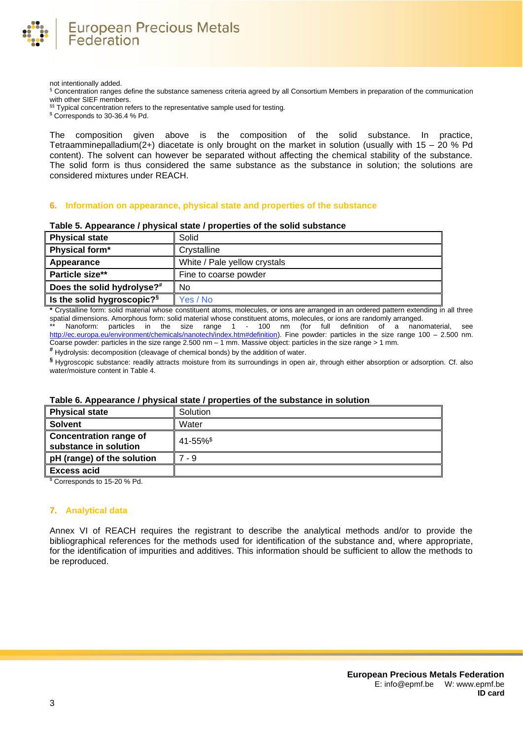

not intentionally added.

§ Concentration ranges define the substance sameness criteria agreed by all Consortium Members in preparation of the communication with other SIEF members.

§§ Typical concentration refers to the representative sample used for testing.

\$ Corresponds to 30-36.4 % Pd.

The composition given above is the composition of the solid substance. In practice, Tetraamminepalladium(2+) diacetate is only brought on the market in solution (usually with  $15 - 20$  % Pd content). The solvent can however be separated without affecting the chemical stability of the substance. The solid form is thus considered the same substance as the substance in solution; the solutions are considered mixtures under REACH.

#### **6. Information on appearance, physical state and properties of the substance**

| <b>Physical state</b>                  | Solid                        |
|----------------------------------------|------------------------------|
| Physical form*                         | Crystalline                  |
| Appearance                             | White / Pale yellow crystals |
| Particle size**                        | Fine to coarse powder        |
| Does the solid hydrolyse?#             | No                           |
| Is the solid hygroscopic? <sup>§</sup> | Yes / No                     |

#### **Table 5. Appearance / physical state / properties of the solid substance**

**\*** Crystalline form: solid material whose constituent atoms, molecules, or ions are arranged in an ordered pattern extending in all three spatial dimensions. Amorphous form: solid material whose constituent atoms, molecules, or ions are randomly arranged.

\*\* Nanoform: particles in the size range 1 - 100 nm (for full definition of a nanomaterial, see [http://ec.europa.eu/environment/chemicals/nanotech/index.htm#definition\)](http://ec.europa.eu/environment/chemicals/nanotech/index.htm#definition). Fine powder: particles in the size range 100 – 2.500 nm. Coarse powder: particles in the size range 2.500 nm  $-1$  mm. Massive object: particles in the size range  $>1$  mm.

**#** Hydrolysis: decomposition (cleavage of chemical bonds) by the addition of water.

**§** Hygroscopic substance: readily attracts moisture from its surroundings in open air, through either absorption or adsorption. Cf. also water/moisture content i[n Table 4.](#page-1-0)

# **Physical state** Solution **Solvent N** Water **Concentration range of substance in solution**<br>substance in solution **pH** (range) of the solution  $\|$  7 - 9 **Excess acid**

## **Table 6. Appearance / physical state / properties of the substance in solution**

<sup>\$</sup> Corresponds to 15-20 % Pd.

#### **7. Analytical data**

Annex VI of REACH requires the registrant to describe the analytical methods and/or to provide the bibliographical references for the methods used for identification of the substance and, where appropriate, for the identification of impurities and additives. This information should be sufficient to allow the methods to be reproduced.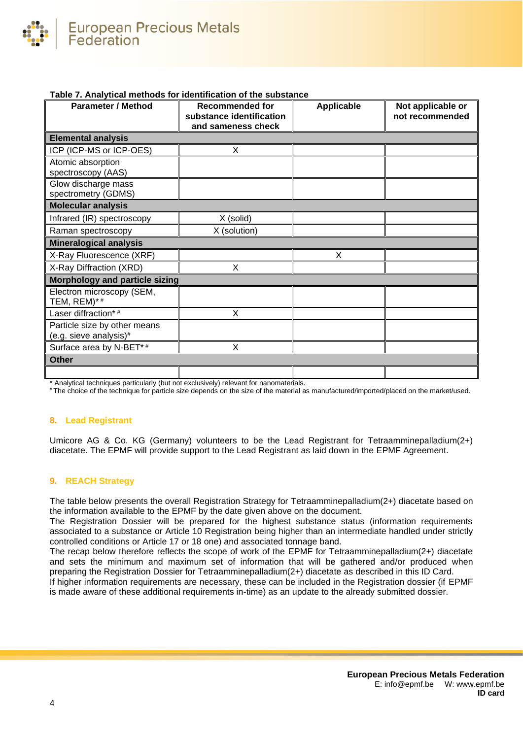

# **Table 7. Analytical methods for identification of the substance**

| <b>Parameter / Method</b>                              | <b>Recommended for</b><br>substance identification<br>and sameness check | <b>Applicable</b> | Not applicable or<br>not recommended |
|--------------------------------------------------------|--------------------------------------------------------------------------|-------------------|--------------------------------------|
| <b>Elemental analysis</b>                              |                                                                          |                   |                                      |
| ICP (ICP-MS or ICP-OES)                                | X                                                                        |                   |                                      |
| Atomic absorption<br>spectroscopy (AAS)                |                                                                          |                   |                                      |
| Glow discharge mass<br>spectrometry (GDMS)             |                                                                          |                   |                                      |
| <b>Molecular analysis</b>                              |                                                                          |                   |                                      |
| Infrared (IR) spectroscopy                             | X (solid)                                                                |                   |                                      |
| Raman spectroscopy                                     | X (solution)                                                             |                   |                                      |
| <b>Mineralogical analysis</b>                          |                                                                          |                   |                                      |
| X-Ray Fluorescence (XRF)                               |                                                                          | Χ                 |                                      |
| X-Ray Diffraction (XRD)                                | X                                                                        |                   |                                      |
| Morphology and particle sizing                         |                                                                          |                   |                                      |
| Electron microscopy (SEM,<br>TEM, REM)*#               |                                                                          |                   |                                      |
| Laser diffraction*#                                    | X                                                                        |                   |                                      |
| Particle size by other means<br>(e.g. sieve analysis)# |                                                                          |                   |                                      |
| Surface area by N-BET*#                                | X                                                                        |                   |                                      |
| <b>Other</b>                                           |                                                                          |                   |                                      |
|                                                        |                                                                          |                   |                                      |

\* Analytical techniques particularly (but not exclusively) relevant for nanomaterials.

# The choice of the technique for particle size depends on the size of the material as manufactured/imported/placed on the market/used.

#### **8. Lead Registrant**

Umicore AG & Co. KG (Germany) volunteers to be the Lead Registrant for Tetraamminepalladium(2+) diacetate. The EPMF will provide support to the Lead Registrant as laid down in the EPMF Agreement.

#### **9. REACH Strategy**

The table below presents the overall Registration Strategy for Tetraamminepalladium(2+) diacetate based on the information available to the EPMF by the date given above on the document.

The Registration Dossier will be prepared for the highest substance status (information requirements associated to a substance or Article 10 Registration being higher than an intermediate handled under strictly controlled conditions or Article 17 or 18 one) and associated tonnage band.

The recap below therefore reflects the scope of work of the EPMF for Tetraamminepalladium(2+) diacetate and sets the minimum and maximum set of information that will be gathered and/or produced when preparing the Registration Dossier for Tetraamminepalladium(2+) diacetate as described in this ID Card.

If higher information requirements are necessary, these can be included in the Registration dossier (if EPMF is made aware of these additional requirements in-time) as an update to the already submitted dossier.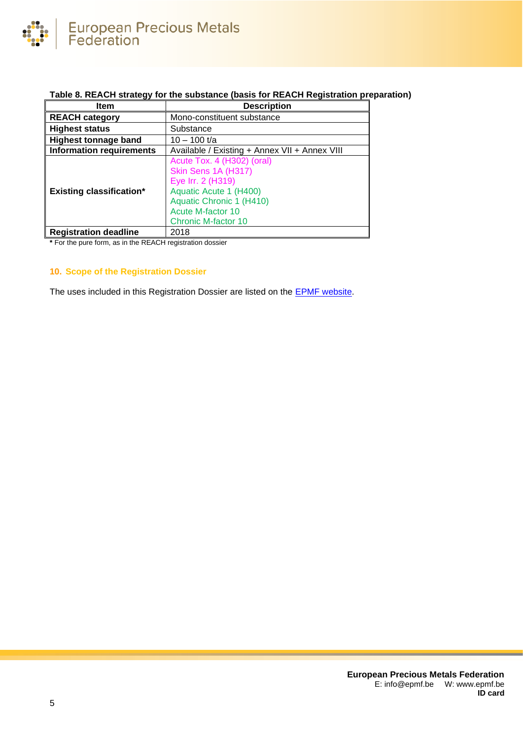

# **Table 8. REACH strategy for the substance (basis for REACH Registration preparation)**

| Item                            | <b>Description</b>                                                                                                                                                                     |
|---------------------------------|----------------------------------------------------------------------------------------------------------------------------------------------------------------------------------------|
| <b>REACH category</b>           | Mono-constituent substance                                                                                                                                                             |
| <b>Highest status</b>           | Substance                                                                                                                                                                              |
| <b>Highest tonnage band</b>     | $10 - 100$ t/a                                                                                                                                                                         |
| <b>Information requirements</b> | Available / Existing + Annex VII + Annex VIII                                                                                                                                          |
| <b>Existing classification*</b> | Acute Tox. 4 (H302) (oral)<br>Skin Sens 1A (H317)<br>Eye Irr. 2 (H319)<br>Aquatic Acute 1 (H400)<br>Aquatic Chronic 1 (H410)<br><b>Acute M-factor 10</b><br><b>Chronic M-factor 10</b> |
| <b>Registration deadline</b>    | 2018                                                                                                                                                                                   |

**\*** For the pure form, as in the REACH registration dossier

# **10. Scope of the Registration Dossier**

The uses included in this Registration Dossier are listed on the **EPMF** website.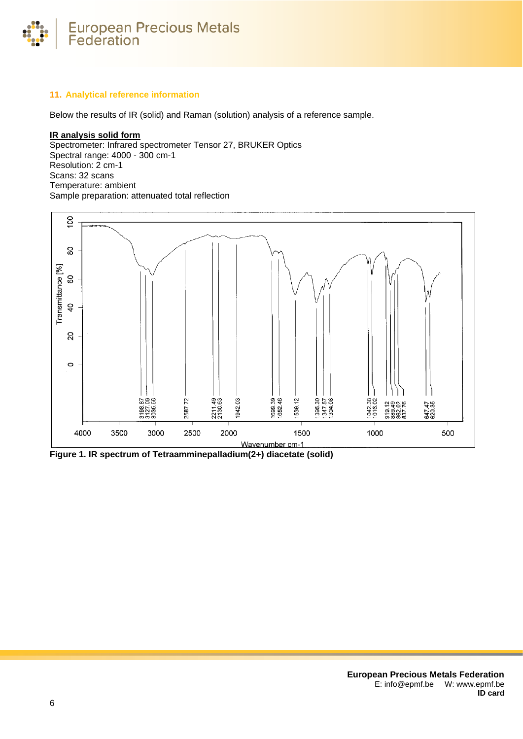

# **11. Analytical reference information**

Below the results of IR (solid) and Raman (solution) analysis of a reference sample.

# **IR analysis solid form**

Spectrometer: Infrared spectrometer Tensor 27, BRUKER Optics Spectral range: 4000 - 300 cm-1 Resolution: 2 cm-1 Scans: 32 scans Temperature: ambient Sample preparation: attenuated total reflection



**Figure 1. IR spectrum of Tetraamminepalladium(2+) diacetate (solid)**